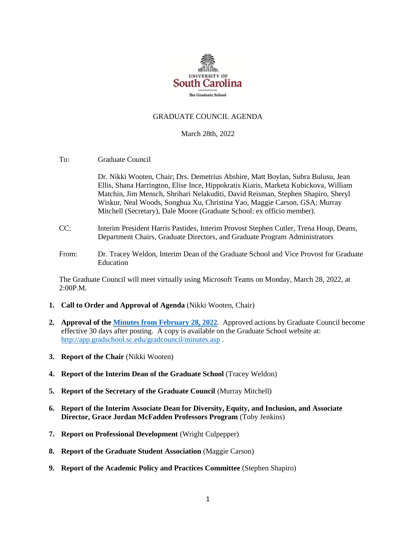

### GRADUATE COUNCIL AGENDA

#### March 28th, 2022

To: Graduate Council

Dr. Nikki Wooten, Chair; Drs. Demetrius Abshire, Matt Boylan, Subra Bulusu, Jean Ellis, Shana Harrington, Elise Ince, Hippokratis Kiaris, Marketa Kubickova, William Matchin, Jim Mensch, Shrihari Nelakuditi, David Reisman, Stephen Shapiro, Sheryl Wiskur, Neal Woods, Songhua Xu, Christina Yao, Maggie Carson, GSA; Murray Mitchell (Secretary), Dale Moore (Graduate School: ex officio member).

- CC: Interim President Harris Pastides, Interim Provost Stephen Cutler, Trena Houp, Deans, Department Chairs, Graduate Directors, and Graduate Program Administrators
- From: Dr. Tracey Weldon, Interim Dean of the Graduate School and Vice Provost for Graduate Education

The Graduate Council will meet virtually using Microsoft Teams on Monday, March 28, 2022, at 2:00P.M.

- **1. Call to Order and Approval of Agenda** (Nikki Wooten, Chair)
- **2. Approval of th[e Minutes from February 28, 2022](GCMINUTES2.28.22%20MM.pdf)**. Approved actions by Graduate Council become effective 30 days after posting. A copy is available on the Graduate School website at: <http://app.gradschool.sc.edu/gradcouncil/minutes.asp> .
- **3. Report of the Chair** (Nikki Wooten)
- **4. Report of the Interim Dean of the Graduate School** (Tracey Weldon)
- **5. Report of the Secretary of the Graduate Council** (Murray Mitchell)
- **6. Report of the Interim Associate Dean for Diversity, Equity, and Inclusion, and Associate Director, Grace Jordan McFadden Professors Program** (Toby Jenkins)
- **7. Report on Professional Development** (Wright Culpepper)
- **8. Report of the Graduate Student Association** (Maggie Carson)
- **9. Report of the Academic Policy and Practices Committee** (Stephen Shapiro)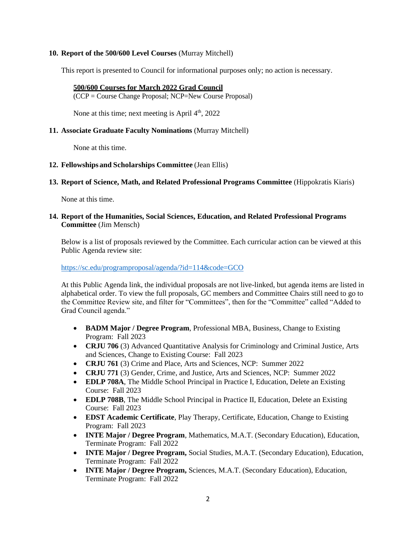# **10. Report of the 500/600 Level Courses** (Murray Mitchell)

This report is presented to Council for informational purposes only; no action is necessary.

### **500/600 Courses for March 2022 Grad Council**

(CCP = Course Change Proposal; NCP=New Course Proposal)

None at this time; next meeting is April  $4<sup>th</sup>$ , 2022

# **11. Associate Graduate Faculty Nominations** (Murray Mitchell)

None at this time.

## **12. Fellowships and Scholarships Committee** (Jean Ellis)

## **13. Report of Science, Math, and Related Professional Programs Committee** (Hippokratis Kiaris)

None at this time.

# **14. Report of the Humanities, Social Sciences, Education, and Related Professional Programs Committee** (Jim Mensch)

Below is a list of proposals reviewed by the Committee. Each curricular action can be viewed at this Public Agenda review site:

#### <https://sc.edu/programproposal/agenda/?id=114&code=GCO>

At this Public Agenda link, the individual proposals are not live-linked, but agenda items are listed in alphabetical order. To view the full proposals, GC members and Committee Chairs still need to go to the Committee Review site, and filter for "Committees", then for the "Committee" called "Added to Grad Council agenda."

- **BADM Major / Degree Program**, Professional MBA, Business, Change to Existing Program: Fall 2023
- **CRJU 706** (3) Advanced Quantitative Analysis for Criminology and Criminal Justice, Arts and Sciences, Change to Existing Course: Fall 2023
- **CRJU 761** (3) Crime and Place, Arts and Sciences, NCP: Summer 2022
- **CRJU 771** (3) Gender, Crime, and Justice, Arts and Sciences, NCP: Summer 2022
- **EDLP 708A**, The Middle School Principal in Practice I, Education, Delete an Existing Course: Fall 2023
- **EDLP 708B**, The Middle School Principal in Practice II, Education, Delete an Existing Course: Fall 2023
- **EDST Academic Certificate**, Play Therapy, Certificate, Education, Change to Existing Program: Fall 2023
- **INTE Major / Degree Program**, Mathematics, M.A.T. (Secondary Education), Education, Terminate Program: Fall 2022
- **INTE Major / Degree Program,** Social Studies, M.A.T. (Secondary Education), Education, Terminate Program: Fall 2022
- **INTE Major / Degree Program,** Sciences, M.A.T. (Secondary Education), Education, Terminate Program: Fall 2022